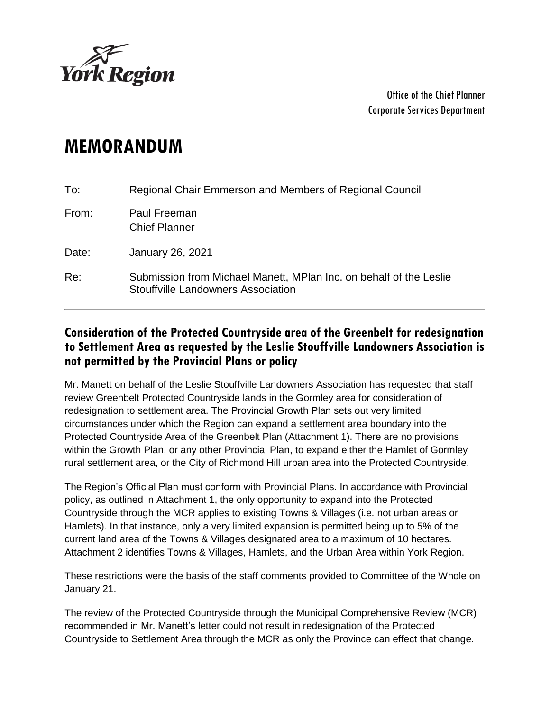

Office of the Chief Planner Corporate Services Department

## **MEMORANDUM**

| To:   | Regional Chair Emmerson and Members of Regional Council                                                         |
|-------|-----------------------------------------------------------------------------------------------------------------|
| From: | Paul Freeman<br><b>Chief Planner</b>                                                                            |
| Date: | <b>January 26, 2021</b>                                                                                         |
| Re:   | Submission from Michael Manett, MPlan Inc. on behalf of the Leslie<br><b>Stouffville Landowners Association</b> |

## **Consideration of the Protected Countryside area of the Greenbelt for redesignation to Settlement Area as requested by the Leslie Stouffville Landowners Association is not permitted by the Provincial Plans or policy**

Mr. Manett on behalf of the Leslie Stouffville Landowners Association has requested that staff review Greenbelt Protected Countryside lands in the Gormley area for consideration of redesignation to settlement area. The Provincial Growth Plan sets out very limited circumstances under which the Region can expand a settlement area boundary into the Protected Countryside Area of the Greenbelt Plan (Attachment 1). There are no provisions within the Growth Plan, or any other Provincial Plan, to expand either the Hamlet of Gormley rural settlement area, or the City of Richmond Hill urban area into the Protected Countryside.

The Region's Official Plan must conform with Provincial Plans. In accordance with Provincial policy, as outlined in Attachment 1, the only opportunity to expand into the Protected Countryside through the MCR applies to existing Towns & Villages (i.e. not urban areas or Hamlets). In that instance, only a very limited expansion is permitted being up to 5% of the current land area of the Towns & Villages designated area to a maximum of 10 hectares. Attachment 2 identifies Towns & Villages, Hamlets, and the Urban Area within York Region.

These restrictions were the basis of the staff comments provided to Committee of the Whole on January 21.

The review of the Protected Countryside through the Municipal Comprehensive Review (MCR) recommended in Mr. Manett's letter could not result in redesignation of the Protected Countryside to Settlement Area through the MCR as only the Province can effect that change.